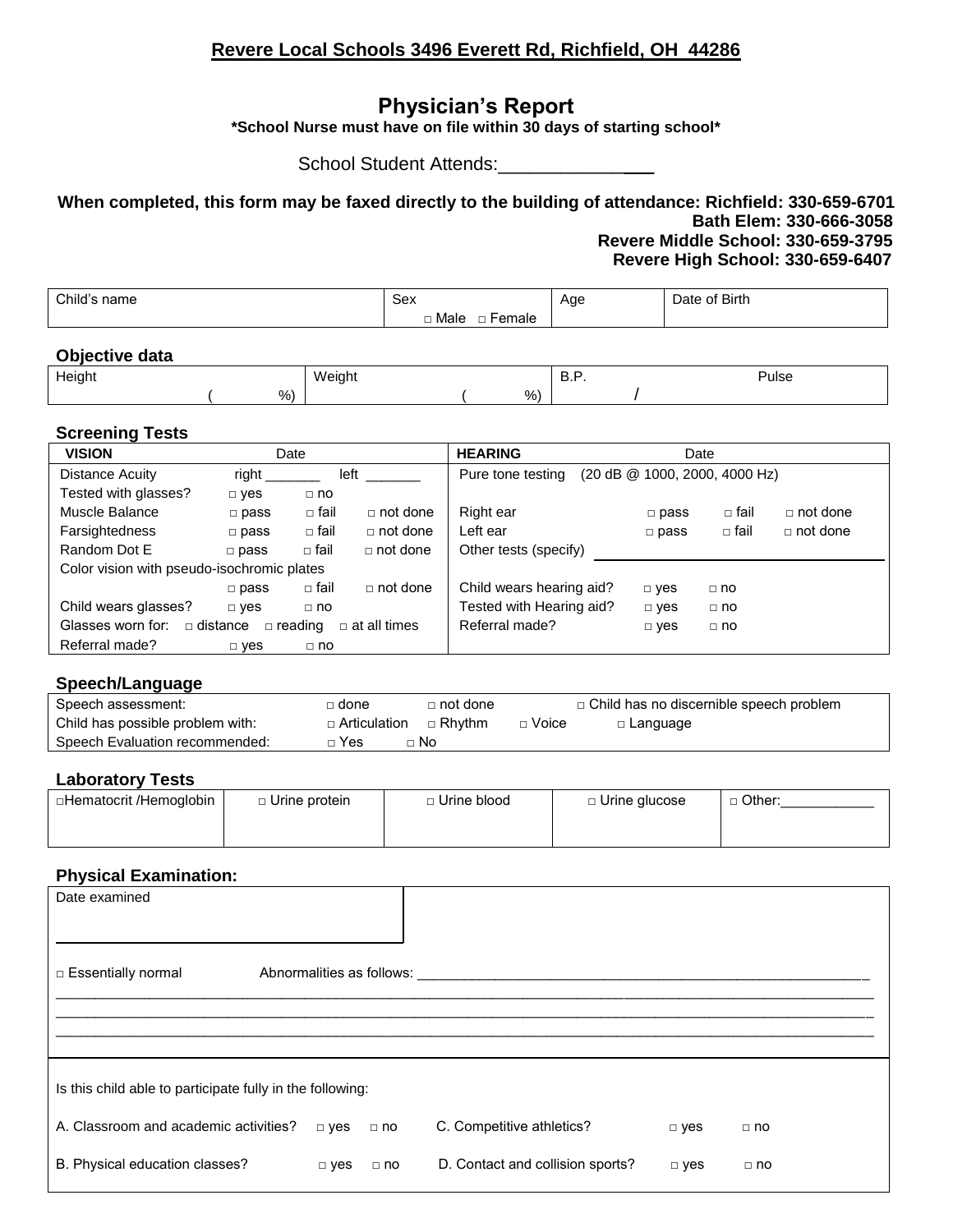## **Revere Local Schools 3496 Everett Rd, Richfield, OH 44286**

# **Physician's Report**

**\*School Nurse must have on file within 30 days of starting school\***

School Student Attends:\_\_\_\_\_\_\_\_\_\_\_\_\_\_\_\_\_\_

**When completed, this form may be faxed directly to the building of attendance: Richfield: 330-659-6701 Bath Elem: 330-666-3058 Revere Middle School: 330-659-3795 Revere High School: 330-659-6407**

| Child's | Sex                        | Age    | <b>Birth</b> |
|---------|----------------------------|--------|--------------|
| name    |                            | . .    | Jate         |
|         |                            | $\sim$ |              |
|         | emale<br>Male<br><u>ы.</u> |        |              |

#### **Objective data**

| Height |      | Weight |   | . | Pulse |
|--------|------|--------|---|---|-------|
|        | $\%$ |        | % |   |       |

#### **Screening Tests**

| <b>VISION</b>                              |                | Date           |                     | <b>HEARING</b>           |                                   | Date        |                 |
|--------------------------------------------|----------------|----------------|---------------------|--------------------------|-----------------------------------|-------------|-----------------|
| Distance Acuity                            | right          | left           |                     | Pure tone testing        | $(20$ dB $@$ 1000, 2000, 4000 Hz) |             |                 |
| Tested with glasses?                       | $\Box$ yes     | $\Box$ no      |                     |                          |                                   |             |                 |
| Muscle Balance                             | $\square$ pass | □ fail         | $\Box$ not done     | Right ear                | $\square$ pass                    | $\Box$ fail | $\Box$ not done |
| <b>Farsightedness</b>                      | $\Box$ pass    | $\Box$ fail    | $\Box$ not done     | Left ear                 | $\square$ pass                    | □ fail      | $\Box$ not done |
| Random Dot E                               | $\Box$ pass    | □ fail         | $\Box$ not done     | Other tests (specify)    |                                   |             |                 |
| Color vision with pseudo-isochromic plates |                |                |                     |                          |                                   |             |                 |
|                                            | $\Box$ pass    | □ fail         | $\Box$ not done     | Child wears hearing aid? | $\Box$ yes                        | $\Box$ no   |                 |
| Child wears glasses?                       | $\Box$ yes     | $\Box$ no      |                     | Tested with Hearing aid? | $\Box$ yes                        | $\Box$ no   |                 |
| Glasses worn for:                          | □ distance     | $\Box$ reading | $\Box$ at all times | Referral made?           | $\Box$ yes                        | $\Box$ no   |                 |
| Referral made?                             | $\Box$ yes     | $\Box$ no      |                     |                          |                                   |             |                 |

#### **Speech/Language**

| Speech assessment:               | ∃ done         | $\sqcap$ not done |         | $\Box$ Child has no discernible speech problem |
|----------------------------------|----------------|-------------------|---------|------------------------------------------------|
| Child has possible problem with: | □ Articulation | $\Box$ Rhythm     | □ Voice | $\Box$ Language                                |
| Speech Evaluation recommended:   | ⊦Yes           | ⊤ No              |         |                                                |

### **Laboratory Tests**

| □Hematocrit /Hemoglobin | $\Box$ Urine protein | ∃ Urine blood | □ Urine glucose | . Other: |
|-------------------------|----------------------|---------------|-----------------|----------|
|                         |                      |               |                 |          |
|                         |                      |               |                 |          |

### **Physical Examination:**

| Date examined                                             |               |                           |                                  |            |           |
|-----------------------------------------------------------|---------------|---------------------------|----------------------------------|------------|-----------|
| □ Essentially normal                                      |               | Abnormalities as follows: |                                  |            |           |
|                                                           |               |                           |                                  |            |           |
| Is this child able to participate fully in the following: |               |                           |                                  |            |           |
| A. Classroom and academic activities?                     | $\square$ yes | $\Box$ no                 | C. Competitive athletics?        | $\Box$ yes | $\Box$ no |
| B. Physical education classes?                            | $\Box$ yes    | $\Box$ no                 | D. Contact and collision sports? | $\Box$ yes | $\Box$ no |